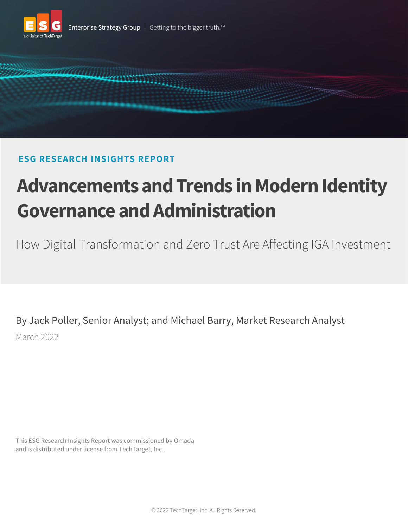



# **ESG RESEARCH INSIGHTS REPORT**

# **Advancements and Trends in Modern Identity Governance and Administration**

How Digital Transformation and Zero Trust Are Affecting IGA Investment

By Jack Poller, Senior Analyst; and Michael Barry, Market Research Analyst March 2022

This ESG Research Insights Report was commissioned by Omada and is distributed under license from TechTarget, Inc..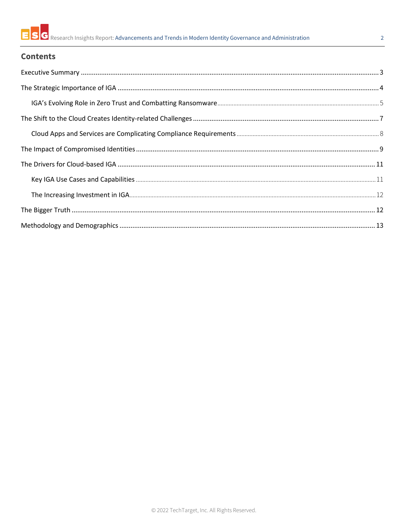## $\overline{2}$

# **Contents**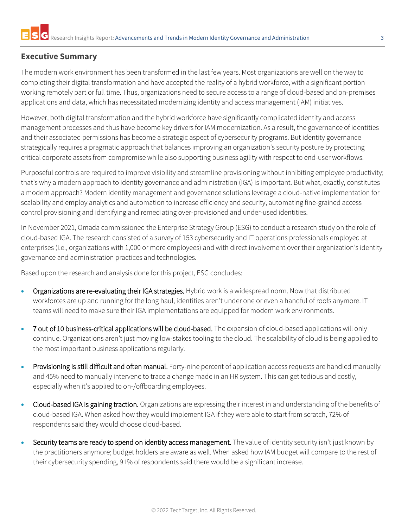# <span id="page-2-0"></span>**Executive Summary**

The modern work environment has been transformed in the last few years. Most organizations are well on the way to completing their digital transformation and have accepted the reality of a hybrid workforce, with a significant portion working remotely part or full time. Thus, organizations need to secure access to a range of cloud-based and on-premises applications and data, which has necessitated modernizing identity and access management (IAM) initiatives.

However, both digital transformation and the hybrid workforce have significantly complicated identity and access management processes and thus have become key drivers for IAM modernization. As a result, the governance of identities and their associated permissions has become a strategic aspect of cybersecurity programs. But identity governance strategically requires a pragmatic approach that balances improving an organization's security posture by protecting critical corporate assets from compromise while also supporting business agility with respect to end-user workflows.

Purposeful controls are required to improve visibility and streamline provisioning without inhibiting employee productivity; that's why a modern approach to identity governance and administration (IGA) is important. But what, exactly, constitutes a modern approach? Modern identity management and governance solutions leverage a cloud-native implementation for scalability and employ analytics and automation to increase efficiency and security, automating fine-grained access control provisioning and identifying and remediating over-provisioned and under-used identities.

In November 2021, Omada commissioned the Enterprise Strategy Group (ESG) to conduct a research study on the role of cloud-based IGA. The research consisted of a survey of 153 cybersecurity and IT operations professionals employed at enterprises (i.e., organizations with 1,000 or more employees) and with direct involvement over their organization's identity governance and administration practices and technologies.

Based upon the research and analysis done for this project, ESG concludes:

- Organizations are re-evaluating their IGA strategies. Hybrid work is a widespread norm. Now that distributed workforces are up and running for the long haul, identities aren't under one or even a handful of roofs anymore. IT teams will need to make sure their IGA implementations are equipped for modern work environments.
- 7 out of 10 business-critical applications will be cloud-based. The expansion of cloud-based applications will only continue. Organizations aren't just moving low-stakes tooling to the cloud. The scalability of cloud is being applied to the most important business applications regularly.
- Provisioning is still difficult and often manual. Forty-nine percent of application access requests are handled manually and 45% need to manually intervene to trace a change made in an HR system. This can get tedious and costly, especially when it's applied to on-/offboarding employees.
- Cloud-based IGA is gaining traction. Organizations are expressing their interest in and understanding of the benefits of cloud-based IGA. When asked how they would implement IGA if they were able to start from scratch, 72% of respondents said they would choose cloud-based.
- Security teams are ready to spend on identity access management. The value of identity security isn't just known by the practitioners anymore; budget holders are aware as well. When asked how IAM budget will compare to the rest of their cybersecurity spending, 91% of respondents said there would be a significant increase.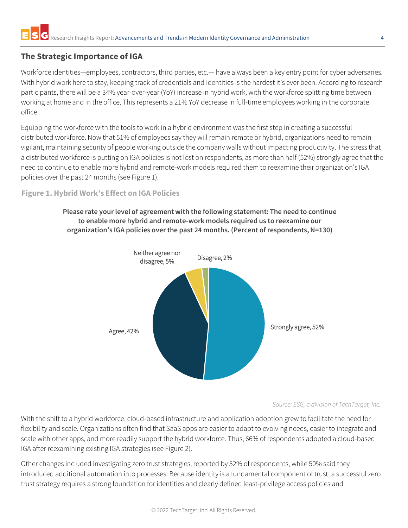# <span id="page-3-0"></span>**The Strategic Importance of IGA**

Workforce identities—employees, contractors, third parties, etc.— have always been a key entry point for cyber adversaries. With hybrid work here to stay, keeping track of credentials and identities is the hardest it's ever been. According to research participants, there will be a 34% year-over-year (YoY) increase in hybrid work, with the workforce splitting time between working at home and in the office. This represents a 21% YoY decrease in full-time employees working in the corporate office.

Equipping the workforce with the tools to work in a hybrid environment was the first step in creating a successful distributed workforce. Now that 51% of employees say they will remain remote or hybrid, organizations need to remain vigilant, maintaining security of people working outside the company walls without impacting productivity. The stress that a distributed workforce is putting on IGA policies is not lost on respondents, as more than half (52%) strongly agree that the need to continue to enable more hybrid and remote-work models required them to reexamine their organization's IGA policies over the past 24 months (se[e Figure 1\)](#page-3-1).

#### <span id="page-3-1"></span>**Figure 1. Hybrid Work's Effect on IGA Policies**

**Please rate your level of agreement with the following statement: The need to continue to enable more hybrid and remote-work models required us to reexamine our organization's IGA policies over the past 24 months. (Percent of respondents, N=130)**



*Source: ESG, a division of TechTarget, Inc.*

With the shift to a hybrid workforce, cloud-based infrastructure and application adoption grew to facilitate the need for flexibility and scale. Organizations often find that SaaS apps are easier to adapt to evolving needs, easier to integrate and scale with other apps, and more readily support the hybrid workforce. Thus, 66% of respondents adopted a cloud-based IGA after reexamining existing IGA strategies (see [Figure 2\)](#page-4-1).

Other changes included investigating zero trust strategies, reported by 52% of respondents, while 50% said they introduced additional automation into processes. Because identity is a fundamental component of trust, a successful zero trust strategy requires a strong foundation for identities and clearly defined least-privilege access policies and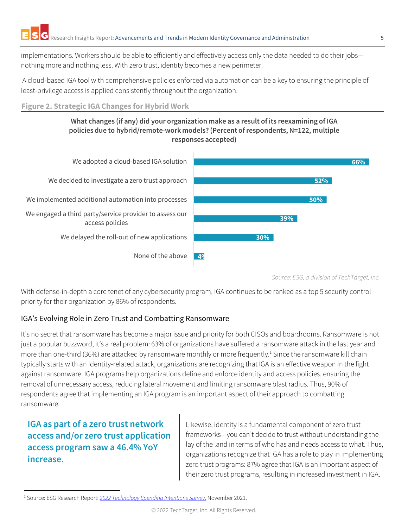implementations. Workers should be able to efficiently and effectively access only the data needed to do their jobs nothing more and nothing less. With zero trust, identity becomes a new perimeter.

A cloud-based IGA tool with comprehensive policies enforced via automation can be a key to ensuring the principle of least-privilege access is applied consistently throughout the organization.

### <span id="page-4-1"></span>**Figure 2. Strategic IGA Changes for Hybrid Work**

#### **What changes (if any) did your organization make as a result of its reexamining of IGA policies due to hybrid/remote-work models? (Percent of respondents, N=122, multiple responses accepted)**



*Source: ESG, a division of TechTarget, Inc.*

With defense-in-depth a core tenet of any cybersecurity program, IGA continues to be ranked as a top 5 security control priority for their organization by 86% of respondents.

# <span id="page-4-0"></span>IGA's Evolving Role in Zero Trust and Combatting Ransomware

It's no secret that ransomware has become a major issue and priority for both CISOs and boardrooms. Ransomware is not just a popular buzzword, it's a real problem: 63% of organizations have suffered a ransomware attack in the last year and more than one-third (36%) are attacked by ransomware monthly or more frequently.<sup>1</sup> Since the ransomware kill chain typically starts with an identity-related attack, organizations are recognizing that IGA is an effective weapon in the fight against ransomware. IGA programs help organizations define and enforce identity and access policies, ensuring the removal of unnecessary access, reducing lateral movement and limiting ransomware blast radius. Thus, 90% of respondents agree that implementing an IGA program is an important aspect of their approach to combatting ransomware.

# **IGA as part of a zero trust network access and/or zero trust application access program saw a 46.4% YoY increase.**

Likewise, identity is a fundamental component of zero trust frameworks—you can't decide to trust without understanding the lay of the land in terms of who has and needs access to what. Thus, organizations recognize that IGA has a role to play in implementing zero trust programs: 87% agree that IGA is an important aspect of their zero trust programs, resulting in increased investment in IGA.

<sup>1</sup> Source: ESG Research Report: *[2022 Technology Spending Intentions Survey](https://research.esg-global.com/reportaction/2022TechnologySpendingIntentionsSurveyRPT/Toc)*, November 2021.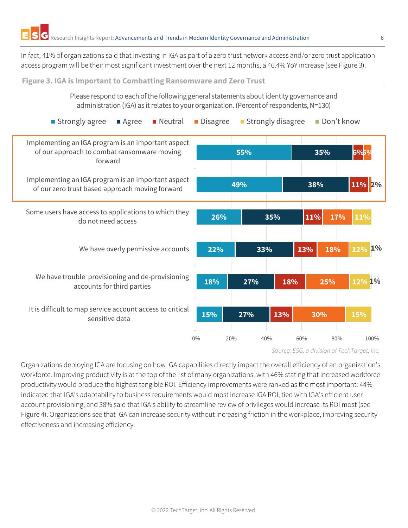In fact, 41% of organizations said that investing in IGA as part of a zero trust network access and/or zero trust application access program will be their most significant investment over the next 12 months, a 46.4% YoY increase (se[e Figure 3\)](#page-5-0).

<span id="page-5-0"></span>**Figure 3. IGA is Important to Combatting Ransomware and Zero Trust**



*Source: ESG, a division of TechTarget, Inc.*

Organizations deploying IGA are focusing on how IGA capabilities directly impact the overall efficiency of an organization's workforce. Improving productivity is at the top of the list of many organizations, with 46% stating that increased workforce productivity would produce the highest tangible ROI. Efficiency improvements were ranked as the most important: 44% indicated that IGA's adaptability to business requirements would most increase IGA ROI, tied with IGA's efficient user account provisioning, and 38% said that IGA's ability to streamline review of privileges would increase its ROI most (see [Figure 4\)](#page-6-1). Organizations see that IGA can increase security without increasing friction in the workplace, improving security effectiveness and increasing efficiency.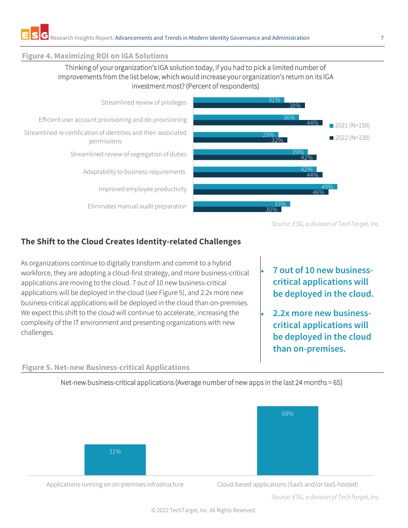#### <span id="page-6-1"></span>**Figure 4. Maximizing ROI on IGA Solutions**

## Thinking of your organization's IGA solution today, if you had to pick a limited number of improvements from the list below, which would increase your organization's return on its IGA investment most? (Percent of respondents)



*Source: ESG, a division of TechTarget, Inc.*

# <span id="page-6-0"></span>**The Shift to the Cloud Creates Identity-related Challenges**

As organizations continue to digitally transform and commit to a hybrid workforce, they are adopting a cloud-first strategy, and more business-critical applications are moving to the cloud. 7 out of 10 new business-critical applications will be deployed in the cloud (see [Figure 5\)](#page-6-2), and 2.2x more new business-critical applications will be deployed in the cloud than on-premises. We expect this shift to the cloud will continue to accelerate, increasing the complexity of the IT environment and presenting organizations with new challenges.

<span id="page-6-2"></span>**Figure 5. Net-new Business-critical Applications**

- **7 out of 10 new businesscritical applications will be deployed in the cloud.**
- **2.2x more new businesscritical applications will be deployed in the cloud than on-premises.**

Net-new business-critical applications (Average number of new apps in the last 24 months = 65)



Applications running on on-premises infrastructure Cloud-based applications (SaaS and/or IaaS-hosted)

*Source: ESG, a division of TechTarget, Inc.*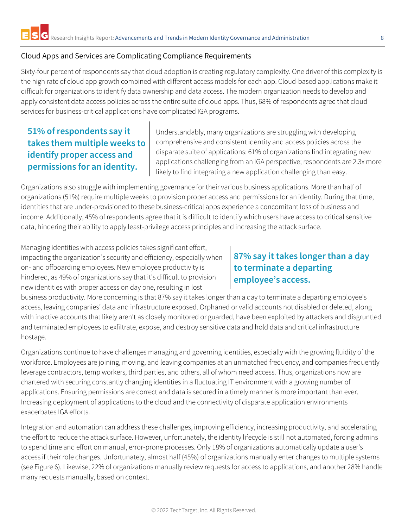### <span id="page-7-0"></span>Cloud Apps and Services are Complicating Compliance Requirements

Sixty-four percent of respondents say that cloud adoption is creating regulatory complexity. One driver of this complexity is the high rate of cloud app growth combined with different access models for each app. Cloud-based applications make it difficult for organizations to identify data ownership and data access. The modern organization needs to develop and apply consistent data access policies across the entire suite of cloud apps. Thus, 68% of respondents agree that cloud services for business-critical applications have complicated IGA programs.

# **51% of respondents say it takes them multiple weeks to identify proper access and permissions for an identity.**

Understandably, many organizations are struggling with developing comprehensive and consistent identity and access policies across the disparate suite of applications: 61% of organizations find integrating new applications challenging from an IGA perspective; respondents are 2.3x more likely to find integrating a new application challenging than easy.

Organizations also struggle with implementing governance for their various business applications. More than half of organizations (51%) require multiple weeks to provision proper access and permissions for an identity. During that time, identities that are under-provisioned to these business-critical apps experience a concomitant loss of business and income. Additionally, 45% of respondents agree that it is difficult to identify which users have access to critical sensitive data, hindering their ability to apply least-privilege access principles and increasing the attack surface.

Managing identities with access policies takes significant effort, impacting the organization's security and efficiency, especially when on- and offboarding employees. New employee productivity is hindered, as 49% of organizations say that it's difficult to provision new identities with proper access on day one, resulting in lost

# **87% say it takes longer than a day to terminate a departing employee's access.**

business productivity. More concerning is that 87% say it takes longer than a day to terminate a departing employee's access, leaving companies' data and infrastructure exposed. Orphaned or valid accounts not disabled or deleted, along with inactive accounts that likely aren't as closely monitored or guarded, have been exploited by attackers and disgruntled and terminated employees to exfiltrate, expose, and destroy sensitive data and hold data and critical infrastructure hostage.

Organizations continue to have challenges managing and governing identities, especially with the growing fluidity of the workforce. Employees are joining, moving, and leaving companies at an unmatched frequency, and companies frequently leverage contractors, temp workers, third parties, and others, all of whom need access. Thus, organizations now are chartered with securing constantly changing identities in a fluctuating IT environment with a growing number of applications. Ensuring permissions are correct and data is secured in a timely manner is more important than ever. Increasing deployment of applications to the cloud and the connectivity of disparate application environments exacerbates IGA efforts.

Integration and automation can address these challenges, improving efficiency, increasing productivity, and accelerating the effort to reduce the attack surface. However, unfortunately, the identity lifecycle is still not automated, forcing admins to spend time and effort on manual, error-prone processes. Only 18% of organizations automatically update a user's access if their role changes. Unfortunately, almost half (45%) of organizations manually enter changes to multiple systems (see [Figure 6\)](#page-8-1). Likewise, 22% of organizations manually review requests for access to applications, and another 28% handle many requests manually, based on context.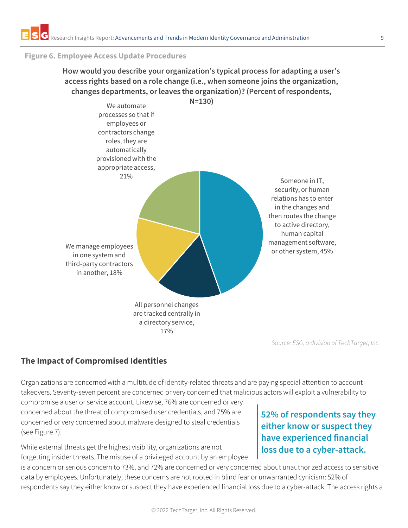#### <span id="page-8-1"></span>**Figure 6. Employee Access Update Procedures**

# **How would you describe your organization's typical process for adapting a user's access rights based on a role change (i.e., when someone joins the organization, changes departments, or leaves the organization)? (Percent of respondents,**



*Source: ESG, a division of TechTarget, Inc.*

# <span id="page-8-0"></span>**The Impact of Compromised Identities**

Organizations are concerned with a multitude of identity-related threats and are paying special attention to account takeovers. Seventy-seven percent are concerned or very concerned that malicious actors will exploit a vulnerability to

compromise a user or service account. Likewise, 76% are concerned or very concerned about the threat of compromised user credentials, and 75% are concerned or very concerned about malware designed to steal credentials (see [Figure 7\)](#page-9-0).

While external threats get the highest visibility, organizations are not forgetting insider threats. The misuse of a privileged account by an employee

# **52% of respondents say they either know or suspect they have experienced financial loss due to a cyber-attack.**

is a concern or serious concern to 73%, and 72% are concerned or very concerned about unauthorized access to sensitive data by employees. Unfortunately, these concerns are not rooted in blind fear or unwarranted cynicism: 52% of respondents say they either know or suspect they have experienced financial loss due to a cyber-attack. The access rights a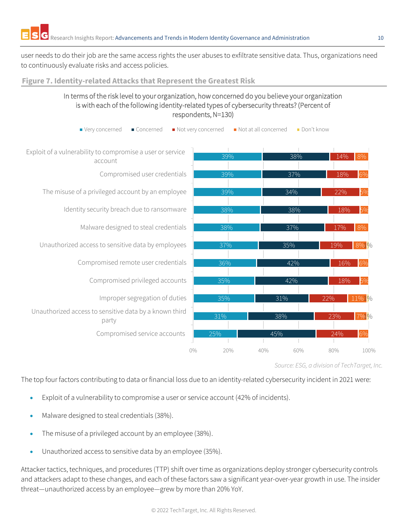user needs to do their job are the same access rights the user abuses to exfiltrate sensitive data. Thus, organizations need to continuously evaluate risks and access policies.

#### <span id="page-9-0"></span>**Figure 7. Identity-related Attacks that Represent the Greatest Risk**

### In terms of the risk level to your organization, how concerned do you believe your organization is with each of the following identity-related types of cybersecurity threats? (Percent of respondents, N=130)



*Source: ESG, a division of TechTarget, Inc.*

The top four factors contributing to data or financial loss due to an identity-related cybersecurity incident in 2021 were:

- Exploit of a vulnerability to compromise a user or service account (42% of incidents).
- Malware designed to steal credentials (38%).
- The misuse of a privileged account by an employee (38%).
- Unauthorized access to sensitive data by an employee (35%).

Attacker tactics, techniques, and procedures (TTP) shift over time as organizations deploy stronger cybersecurity controls and attackers adapt to these changes, and each of these factors saw a significant year-over-year growth in use. The insider threat—unauthorized access by an employee—grew by more than 20% YoY.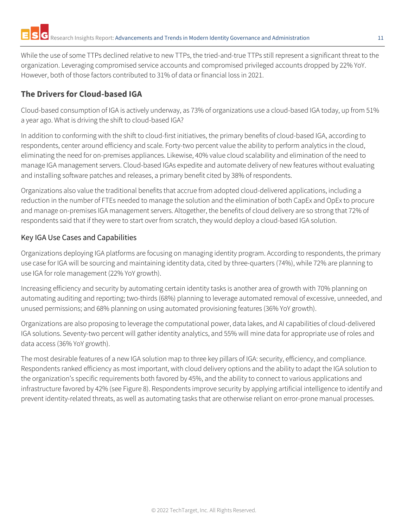While the use of some TTPs declined relative to new TTPs, the tried-and-true TTPs still represent a significant threat to the organization. Leveraging compromised service accounts and compromised privileged accounts dropped by 22% YoY. However, both of those factors contributed to 31% of data or financial loss in 2021.

# <span id="page-10-0"></span>**The Drivers for Cloud-based IGA**

Cloud-based consumption of IGA is actively underway, as 73% of organizations use a cloud-based IGA today, up from 51% a year ago. What is driving the shift to cloud-based IGA?

In addition to conforming with the shift to cloud-first initiatives, the primary benefits of cloud-based IGA, according to respondents, center around efficiency and scale. Forty-two percent value the ability to perform analytics in the cloud, eliminating the need for on-premises appliances. Likewise, 40% value cloud scalability and elimination of the need to manage IGA management servers. Cloud-based IGAs expedite and automate delivery of new features without evaluating and installing software patches and releases, a primary benefit cited by 38% of respondents.

Organizations also value the traditional benefits that accrue from adopted cloud-delivered applications, including a reduction in the number of FTEs needed to manage the solution and the elimination of both CapEx and OpEx to procure and manage on-premises IGA management servers. Altogether, the benefits of cloud delivery are so strong that 72% of respondents said that if they were to start over from scratch, they would deploy a cloud-based IGA solution.

## <span id="page-10-1"></span>Key IGA Use Cases and Capabilities

Organizations deploying IGA platforms are focusing on managing identity program. According to respondents, the primary use case for IGA will be sourcing and maintaining identity data, cited by three-quarters (74%), while 72% are planning to use IGA for role management (22% YoY growth).

Increasing efficiency and security by automating certain identity tasks is another area of growth with 70% planning on automating auditing and reporting; two-thirds (68%) planning to leverage automated removal of excessive, unneeded, and unused permissions; and 68% planning on using automated provisioning features (36% YoY growth).

Organizations are also proposing to leverage the computational power, data lakes, and AI capabilities of cloud-delivered IGA solutions. Seventy-two percent will gather identity analytics, and 55% will mine data for appropriate use of roles and data access (36% YoY growth).

The most desirable features of a new IGA solution map to three key pillars of IGA: security, efficiency, and compliance. Respondents ranked efficiency as most important, with cloud delivery options and the ability to adapt the IGA solution to the organization's specific requirements both favored by 45%, and the ability to connect to various applications and infrastructure favored by 42% (see [Figure 8\)](#page-11-2). Respondents improve security by applying artificial intelligence to identify and prevent identity-related threats, as well as automating tasks that are otherwise reliant on error-prone manual processes.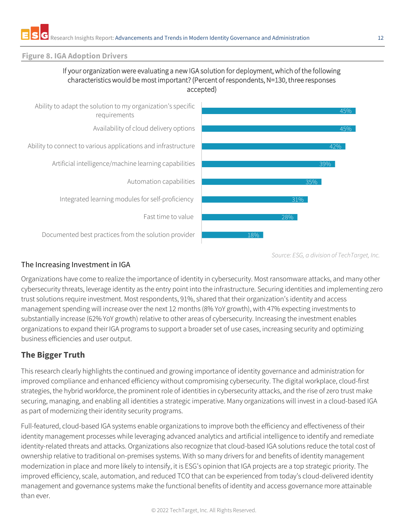#### <span id="page-11-2"></span>**Figure 8. IGA Adoption Drivers**

#### If your organization were evaluating a new IGA solution for deployment, which of the following characteristics would be most important? (Percent of respondents, N=130, three responses accepted)



*Source: ESG, a division of TechTarget, Inc.*

#### <span id="page-11-0"></span>The Increasing Investment in IGA

Organizations have come to realize the importance of identity in cybersecurity. Most ransomware attacks, and many other cybersecurity threats, leverage identity as the entry point into the infrastructure. Securing identities and implementing zero trust solutions require investment. Most respondents, 91%, shared that their organization's identity and access management spending will increase over the next 12 months (8% YoY growth), with 47% expecting investments to substantially increase (62% YoY growth) relative to other areas of cybersecurity. Increasing the investment enables organizations to expand their IGA programs to support a broader set of use cases, increasing security and optimizing business efficiencies and user output.

## <span id="page-11-1"></span>**The Bigger Truth**

This research clearly highlights the continued and growing importance of identity governance and administration for improved compliance and enhanced efficiency without compromising cybersecurity. The digital workplace, cloud-first strategies, the hybrid workforce, the prominent role of identities in cybersecurity attacks, and the rise of zero trust make securing, managing, and enabling all identities a strategic imperative. Many organizations will invest in a cloud-based IGA as part of modernizing their identity security programs.

Full-featured, cloud-based IGA systems enable organizations to improve both the efficiency and effectiveness of their identity management processes while leveraging advanced analytics and artificial intelligence to identify and remediate identity-related threats and attacks. Organizations also recognize that cloud-based IGA solutions reduce the total cost of ownership relative to traditional on-premises systems. With so many drivers for and benefits of identity management modernization in place and more likely to intensify, it is ESG's opinion that IGA projects are a top strategic priority. The improved efficiency, scale, automation, and reduced TCO that can be experienced from today's cloud-delivered identity management and governance systems make the functional benefits of identity and access governance more attainable than ever.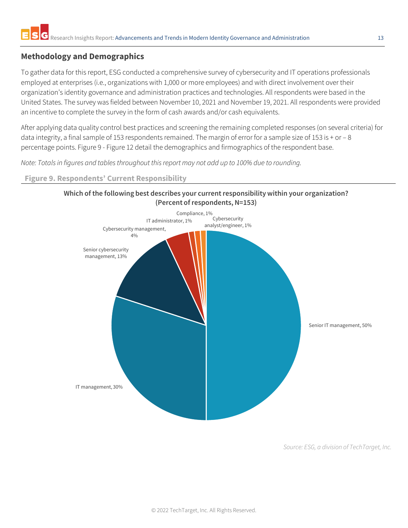# <span id="page-12-0"></span>**Methodology and Demographics**

To gather data for this report, ESG conducted a comprehensive survey of cybersecurity and IT operations professionals employed at enterprises (i.e., organizations with 1,000 or more employees) and with direct involvement over their organization's identity governance and administration practices and technologies. All respondents were based in the United States. The survey was fielded between November 10, 2021 and November 19, 2021. All respondents were provided an incentive to complete the survey in the form of cash awards and/or cash equivalents.

After applying data quality control best practices and screening the remaining completed responses (on several criteria) for data integrity, a final sample of 153 respondents remained. The margin of error for a sample size of 153 is + or - 8 percentage points. [Figure 9](#page-12-1) - [Figure 12](#page-14-0) detail the demographics and firmographics of the respondent base.

*Note: Totals in figures and tables throughout this report may not add up to 100% due to rounding.*

### <span id="page-12-1"></span>**Figure 9. Respondents' Current Responsibility**



*Source: ESG, a division of TechTarget, Inc.*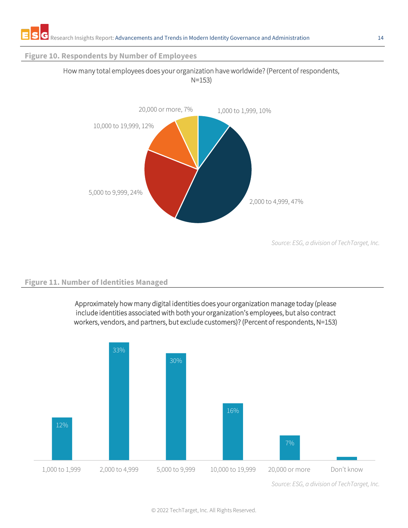#### **Figure 10. Respondents by Number of Employees**



#### How many total employees does your organization have worldwide? (Percent of respondents, N=153)

*Source: ESG, a division of TechTarget, Inc.*

## **Figure 11. Number of Identities Managed**

Approximately how many digital identities does your organization manage today (please include identities associated with both your organization's employees, but also contract workers, vendors, and partners, but exclude customers)? (Percent of respondents, N=153)